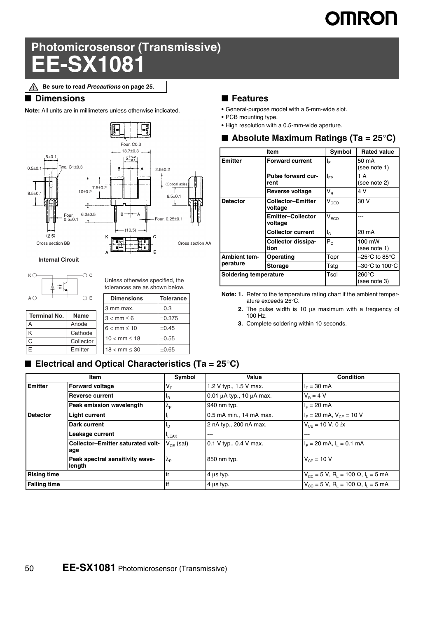# **OMRON**

## **Photomicrosensor (Transmissive) EE-SX1081**

**Be sure to read** *Precautions* **on page 25.**∧

#### ■ **Dimensions**

**Note:** All units are in millimeters unless otherwise indicated.



**Internal Circuit**



Unless otherwise specified, the

tolerances are as shown below.

| AΟ                  | ΩЕ          | <b>Dimensions</b>        | <b>Tolerance</b> |
|---------------------|-------------|--------------------------|------------------|
|                     |             | 3 mm max.                | $+0.3$           |
| <b>Terminal No.</b> | <b>Name</b> | $3 < mm \leq 6$          | ±0.375           |
| А                   | Anode       | $6 < mm \leq 10$         | $\pm 0.45$       |
| K                   | Cathode     |                          |                  |
| Ć                   | Collector   | $10 < mm \le 18$         | $\pm 0.55$       |
| E                   | Emitter     | $18 < \text{mm} \leq 30$ | $\pm 0.65$       |
|                     |             |                          |                  |

#### ■ **Electrical and Optical Characteristics (Ta = 25<sup>°</sup>C)**

#### ■ **Features**

- **•** General-purpose model with a 5-mm-wide slot.
- **•** PCB mounting type.
- **•** High resolution with a 0.5-mm-wide aperture.

|  |  | Absolute Maximum Ratings (Ta = $25^{\circ}$ C) |  |  |  |
|--|--|------------------------------------------------|--|--|--|
|--|--|------------------------------------------------|--|--|--|

|                          | Item                                | Symbol                      | <b>Rated value</b>                  |
|--------------------------|-------------------------------------|-----------------------------|-------------------------------------|
| <b>Emitter</b>           | <b>Forward current</b>              | ΙF                          | 50 mA<br>(see note 1)               |
|                          | Pulse forward cur-<br>rent          | I <sub>FP</sub>             | 1 A<br>(see note 2)                 |
|                          | Reverse voltage                     | $\mathsf{V}_\mathsf{R}$     | 4 V                                 |
| <b>Detector</b>          | <b>Collector-Emitter</b><br>voltage | $\mathsf{V}_{\mathrm{CEO}}$ | 30 V                                |
|                          | Emitter-Collector<br>voltage        | $V_{ECO}$                   |                                     |
|                          | <b>Collector current</b>            | $I_{\rm C}$                 | 20 mA                               |
|                          | Collector dissipa-<br>tion          | $P_{C}$                     | 100 mW<br>(see note 1)              |
| Ambient tem-<br>perature | Operating                           | Topr                        | –25°C to 85°C                       |
|                          | Storage                             | Tsta                        | $-30^{\circ}$ C to 100 $^{\circ}$ C |
| Soldering temperature    |                                     | Tsol                        | $260^{\circ}$ C<br>(see note 3)     |

**Note: 1.** Refer to the temperature rating chart if the ambient temperature exceeds 25°C.

**2.** The pulse width is 10 μs maximum with a frequency of 100 Hz.

**3.** Complete soldering within 10 seconds.

| Item                |                                           | Symbol                 | Value                              | <b>Condition</b>                                                              |
|---------------------|-------------------------------------------|------------------------|------------------------------------|-------------------------------------------------------------------------------|
| Emitter             | <b>Forward voltage</b>                    | $V_{F}$                | 1.2 V typ., 1.5 V max.             | $I_F = 30 \text{ mA}$                                                         |
|                     | <b>Reverse current</b>                    | <u>IR</u>              | $0.01 \mu A$ typ., 10 $\mu A$ max. | $V_{\rm B} = 4 V$                                                             |
|                     | Peak emission wavelength                  | $\lambda_{\mathsf{P}}$ | 940 nm typ.                        | $I_F = 20$ mA                                                                 |
| <b>Detector</b>     | <b>Light current</b>                      | ΨL                     | 0.5 mA min., 14 mA max.            | $I_F$ = 20 mA, $V_{CF}$ = 10 V                                                |
|                     | Dark current                              | סי                     | 2 nA typ., 200 nA max.             | $V_{CF}$ = 10 V, 0 $\ell$ x                                                   |
|                     | Leakage current                           | LEAK                   | ---                                | ---                                                                           |
|                     | Collector-Emitter saturated volt-<br>age  | $V_{CF}$ (sat)         | $0.1 V$ typ., 0.4 V max.           | $I_F = 20$ mA, $I_1 = 0.1$ mA                                                 |
|                     | Peak spectral sensitivity wave-<br>length | $\lambda_{\rm P}$      | 850 nm typ.                        | $V_{CF} = 10 V$                                                               |
| <b>Rising time</b>  |                                           | tr                     | $4 \mu s$ typ.                     | $V_{\text{CC}}$ = 5 V, R <sub>1</sub> = 100 $\Omega$ , I <sub>1</sub> = 5 mA  |
| <b>Falling time</b> |                                           | tf                     | $4 \mu s$ typ.                     | $V_{\text{CC}} = 5 V$ , R <sub>1</sub> = 100 $\Omega$ , I <sub>1</sub> = 5 mA |